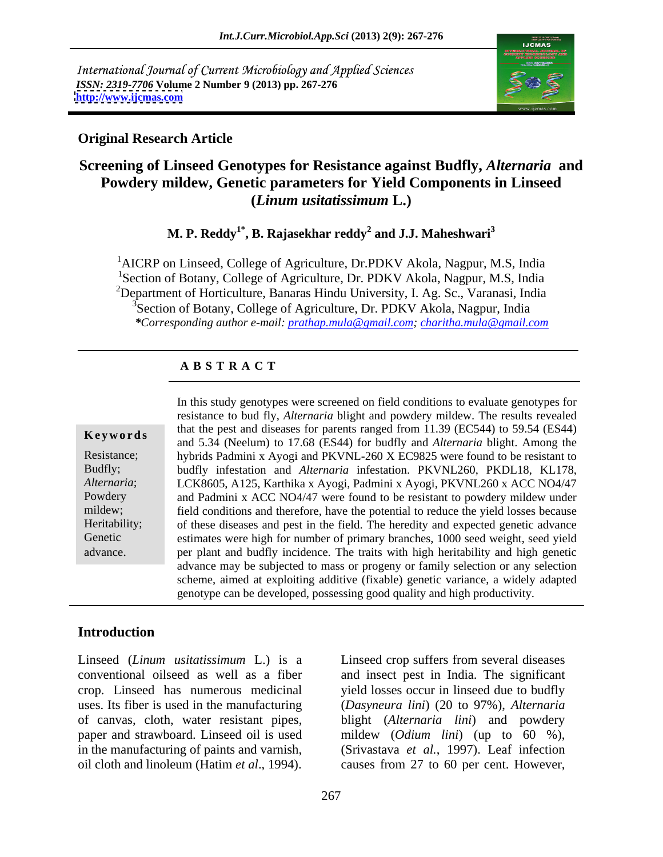International Journal of Current Microbiology and Applied Sciences *ISSN: 2319-7706* **Volume 2 Number 9 (2013) pp. 267-276 <http://www.ijcmas.com>**



### **Original Research Article**

# **Screening of Linseed Genotypes for Resistance against Budfly,** *Alternaria* **and Powdery mildew, Genetic parameters for Yield Components in Linseed (***Linum usitatissimum* **L.)**

**M. P. Reddy1\* , B. Rajasekhar reddy<sup>2</sup> and J.J. Maheshwari<sup>3</sup>**

<sup>1</sup>AICRP on Linseed, College of Agriculture, Dr.PDKV Akola, Nagpur, M.S, India <sup>1</sup>Section of Botany, College of Agriculture, Dr. PDKV Akola, Nagpur, M.S. India <sup>2</sup>Department of Horticulture, Banaras Hindu University, I. Ag. Sc., Varanasi, India <sup>3</sup>Section of Botany, College of Agriculture, Dr. PDKV Akola, Nagpur, India *\*Corresponding author e-mail: prathap.mula@gmail.com; charitha.mula@gmail.com*

## **A B S T R A C T**

**Keywords** and the pest and diseases for parents ranged from 11.59 (EC544) to 59.54 (E544) and 5.34 (Neelum) to 17.68 (ES44) for budfly and *Alternaria* blight. Among the Resistance; hybrids Padmini x Ayogi and PKVNL-260 X EC9825 were found to be resistant to Budfly; budfly infestation and *Alternaria* infestation. PKVNL260, PKDL18, KL178, *Alternaria*; LCK8605, A125, Karthika x Ayogi, Padmini x Ayogi, PKVNL260 x ACC NO4/47 Powdery and Padmini x ACC NO4/47 were found to be resistant to powdery mildew under mildew; field conditions and therefore, have the potential to reduce the yield losses because Heritability; of these diseases and pest in the field. The heredity and expected genetic advance Genetic estimates were high for number of primary branches, 1000 seed weight, seed yield In this study genotypes were screened on field conditions to evaluate genotypes for<br>resistance to bud fly, *Alternaria* blight and powdery mildew. The results revealed<br>that the pest and diseases for parents ranged from 11. resistance to bud fly, *Alternaria* blight and powdery mildew. The results revealed that the pest and diseases for parents ranged from 11.39 (EC544) to 59.54 (ES44) per plant and budfly incidence. The traits with high heritability and high genetic advance may be subjected to mass or progeny or family selection or any selection scheme, aimed at exploiting additive (fixable) genetic variance, a widely adapted genotype can be developed, possessing good quality and high productivity.

### **Introduction**

Linseed (*Linum usitatissimum* L.) is a Linseed crop suffers from several diseases conventional oilseed as well as a fiber and insect pest in India. The significant crop. Linseed has numerous medicinal yield losses occur in linseed due to budfly uses. Its fiber is used in the manufacturing (*Dasyneura lini*) (20 to 97%), *Alternaria* of canvas, cloth, water resistant pipes, blight (*Alternaria lini*) and powdery paper and strawboard. Linseed oil is used mildew (*Odium lini*) (up to 60 %), in the manufacturing of paints and varnish, (Srivastava *et al.*, 1997). Leaf infection oil cloth and linoleum (Hatim *et al*., 1994). causes from 27 to 60 per cent. However,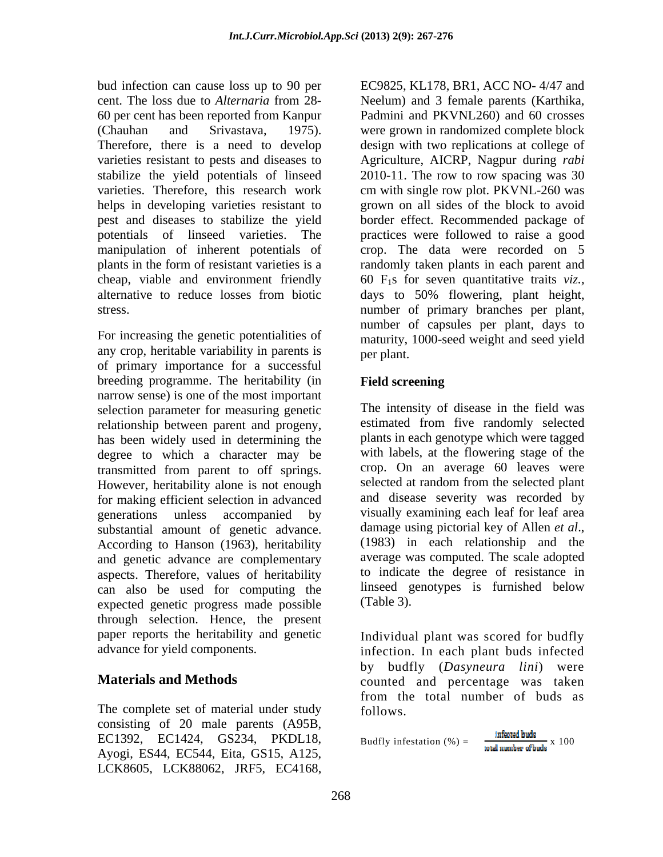60 per cent has been reported from Kanpur varieties resistant to pests and diseases to helps in developing varieties resistant to

For increasing the genetic potentialities of any crop, heritable variability in parents is of primary importance for a successful breeding programme. The heritability (in Field screening narrow sense) is one of the most important selection parameter for measuring genetic relationship between parent and progeny, has been widely used in determining the degree to which a character may be transmitted from parent to off springs. However, heritability alone is not enough for making efficient selection in advanced generations unless accompanied by visually examining each leaf for leaf area substantial amount of genetic advance. According to Hanson (1963), heritability and genetic advance are complementary aspects. Therefore, values of heritability can also be used for computing the linseed g<br>expected genetic progress made possible (Table 3). expected genetic progress made possible through selection. Hence, the present paper reports the heritability and genetic

The complete set of material under study follows. consisting of 20 male parents (A95B, EC1392, EC1424, GS234, PKDL18, Ayogi, ES44, EC544, Eita, GS15, A125, LCK8605, LCK88062, JRF5, EC4168,

bud infection can cause loss up to 90 per EC9825, KL178, BR1, ACC NO- 4/47 and cent. The loss due to *Alternaria* from 28- Neelum) and 3 female parents (Karthika, (Chauhan and Srivastava, 1975). were grown in randomized complete block Therefore, there is a need to develop design with two replications at college of stabilize the yield potentials of linseed 2010-11. The row to row spacing was 30 varieties. Therefore, this research work cm with single row plot. PKVNL-260 was pest and diseases to stabilize the yield border effect. Recommended package of potentials of linseed varieties. The practices were followed to raise a good manipulation of inherent potentials of crop. The data were recorded on 5 plants in the form of resistant varieties is a randomly taken plants in each parent and cheap, viable and environment friendly 60 F1s for seven quantitative traits *viz.,* alternative to reduce losses from biotic days to 50% flowering, plant height, stress. number of primary branches per plant, Padmini and PKVNL260) and 60 crosses Agriculture, AICRP, Nagpur during *rabi* grown on all sides of the block to avoid number of capsules per plant, days to maturity, 1000-seed weight and seed yield per plant.

## **Field screening**

The intensity of disease in the field was estimated from five randomly selected plants in each genotype which were tagged with labels, at the flowering stage of the crop. On an average 60 leaves were selected at random from the selected plant and disease severity was recorded by damage using pictorial key of Allen *et al*., (1983) in each relationship and the average was computed. The scale adopted to indicate the degree of resistance in linseed genotypes is furnished below (Table 3).

advance for yield components. infection. In each plant buds infected **Materials and Methods counted** and percentage was taken Individual plant was scored for budfly by budfly (*Dasyneura lini*) were from the total number of buds as follows.

**Budfly** infestation (%) = 
$$
\frac{\text{infected hubs}}{\text{total number of bulbs}} \times 100
$$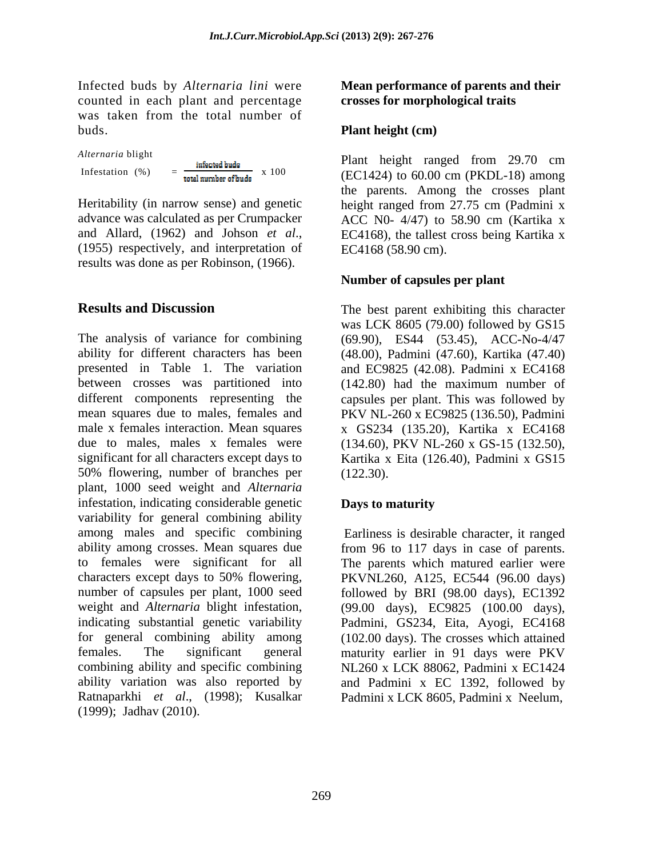Infected buds by *Alternaria lini* were counted in each plant and percentage was taken from the total number of buds. **Plant height (cm)**

advance was calculated as per Crumpacker ACC N0- 4/47) to 58.90 cm (Kartika x results was done as per Robinson, (1966).

The analysis of variance for combining (69.90), ES44 (53.45), ACC-No-4/47 ability for different characters has been (48.00), Padmini (47.60), Kartika (47.40) presented in Table 1. The variation and EC9825 (42.08). Padmini x EC4168 between crosses was partitioned into (142.80) had the maximum number of different components representing the capsules per plant. This was followed by mean squares due to males, females and PKV NL-260 x EC9825 (136.50), Padmini male x females interaction. Mean squares x GS234 (135.20), Kartika x EC4168 due to males, males x females were (134.60), PKV NL-260 x GS-15 (132.50), significant for all characters except days to Kartika x Eita (126.40), Padmini x GS15 50% flowering, number of branches per plant, 1000 seed weight and *Alternaria* infestation, indicating considerable genetic **Days to maturity** variability for general combining ability among males and specific combining ability among crosses. Mean squares due from 96 to 117 days in case of parents. to females were significant for all The parents which matured earlier were characters except days to 50% flowering, PKVNL260, A125, EC544 (96.00 days) number of capsules per plant, 1000 seed followed by BRI (98.00 days), EC1392 weight and *Alternaria* blight infestation, indicating substantial genetic variability Padmini, GS234, Eita, Ayogi, EC4168 for general combining ability among females. The significant general maturity earlier in 91 days were PKV combining ability and specific combining NL260 x LCK 88062, Padmini x EC1424 ability variation was also reported by Ratnaparkhi *et al*., (1998); Kusalkar (1999); Jadhav (2010).

### **Mean performance of parents and their crosses for morphological traits**

Alternaria blight<br> **Plant** height ranged from 29.70 cm Infestation (%) =  $\frac{2}{\text{total number of buls}}$  x 100 (EC1424) to 60.00 cm (PKDL-18) among Heritability (in narrow sense) and genetic height ranged from 27.75 cm (Padmini x and Allard, (1962) and Johson *et al.*, EC4168), the tallest cross being Kartika x (1955) respectively, and interpretation of EC4168 (58.90 cm). the parents. Among the crosses plant ACC N0- 4/47) to 58.90 cm (Kartika x EC4168), the tallest cross being Kartika x EC4168 (58.90 cm).

### **Number of capsules per plant**

**Results and Discussion** The best parent exhibiting this character was LCK 8605 (79.00) followed by GS15 (122.30).

### **Days to maturity**

Earliness is desirable character, it ranged (99.00 days), EC9825 (100.00 days), (102.00 days). The crosses which attained and Padmini x EC 1392, followed by Padmini x LCK 8605, Padmini x Neelum,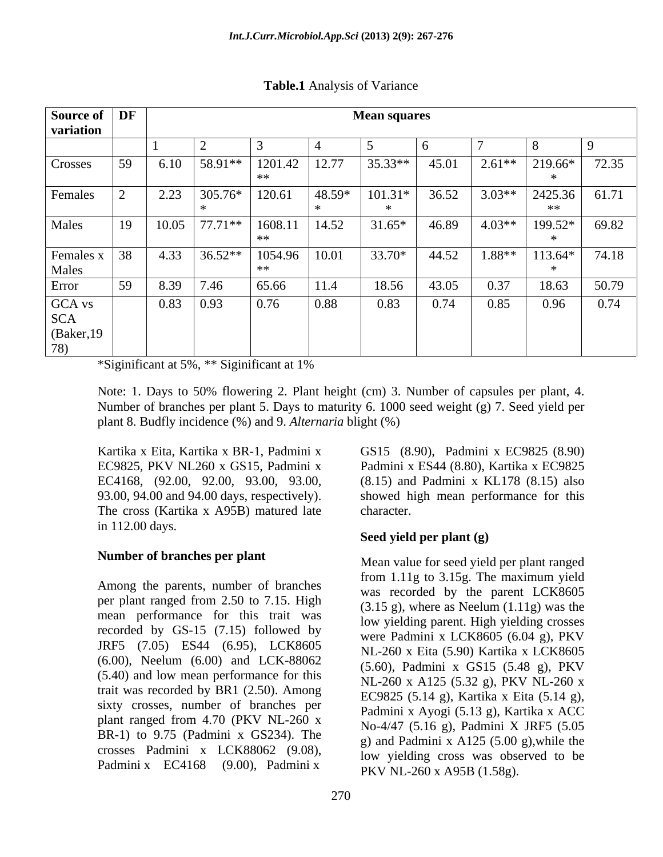| Source of DF                               |                                                        |       |           |               |        | <b>Mean squares</b> |       |          |               |       |
|--------------------------------------------|--------------------------------------------------------|-------|-----------|---------------|--------|---------------------|-------|----------|---------------|-------|
| variation                                  |                                                        |       |           |               |        |                     |       |          |               |       |
|                                            |                                                        |       |           |               |        |                     |       |          |               |       |
| Crosses                                    | 59                                                     | 6.10  | $58.91**$ | 1201.42<br>** | 12.77  | 35.33**             | 45.01 | $2.61**$ | 219.66*       | 72.35 |
| Females                                    |                                                        | 2.23  | 305.76*   | 120.61        | 48.59* | $101.31*$           | 36.52 | $3.03**$ | 2425.36<br>∗∗ | 61.71 |
| Males                                      | 19                                                     | 10.05 | $77.71**$ | 1608.11<br>** | 14.52  | $31.65*$            | 46.89 | $4.03**$ | 199.52*       | 69.82 |
| Females x<br>Males                         | $\begin{array}{ c c } \hline 38 \\ \hline \end{array}$ | 4.33  | $36.52**$ | 1054.96       | 10.01  | 33.70*              | 44.52 | $1.88**$ | 113.64*       | 74.18 |
| Error                                      | 59                                                     | 8.39  | 7.46      | 65.66         | 11.4   | 18.56               | 43.05 | 0.37     | 18.63         | 50.79 |
| GCA vs<br><b>SCA</b><br>(Baker, 19)<br>78) |                                                        | 0.83  | 0.93      | 0.76          | 0.88   | 0.83                | 0.74  | 0.85     | 0.96          | 0.74  |

**Table.1** Analysis of Variance

\*Siginificant at 5%, \*\* Siginificant at 1%

Note: 1. Days to 50% flowering 2. Plant height (cm) 3. Number of capsules per plant, 4. Number of branches per plant 5. Days to maturity 6. 1000 seed weight (g) 7. Seed yield per plant 8. Budfly incidence (%) and 9. *Alternaria* blight (%)

Kartika x Eita, Kartika x BR-1, Padmini x GS15 (8.90), Padmini x EC9825 (8.90) EC9825, PKV NL260 x GS15, Padmini x Padmini x ES44 (8.80), Kartika x EC9825 EC4168, (92.00, 92.00, 93.00, 93.00, 93.00, 94.00 and 94.00 days, respectively). (8.15) and Padmini x KL178 (8.15) also The cross (Kartika x A95B) matured late character. in 112.00 days.

## **Number of branches per plant**

Among the parents, number of branches per plant ranged from 2.50 to 7.15. High mean performance for this trait was recorded by GS-15 (7.15) followed by JRF5 (7.05) ES44 (6.95), LCK8605 (6.00), Neelum (6.00) and LCK-88062 (5.40) and low mean performance for this trait was recorded by BR1 (2.50). Among sixty crosses, number of branches per plant ranged from 4.70 (PKV NL-260 x BR-1) to 9.75 (Padmini x GS234). The crosses Padmini x LCK88062 (9.08), Padmini x EC4168 (9.00), Padmini x

showed high mean performance for this character.

## **Seed yield per plant (g)**

Mean value for seed yield per plant ranged from 1.11g to 3.15g. The maximum yield was recorded by the parent LCK8605  $(3.15 \text{ g})$ , where as Neelum  $(1.11 \text{ g})$  was the low yielding parent. High yielding crosses were Padmini x LCK8605 (6.04 g), PKV NL-260 x Eita (5.90) Kartika x LCK8605 (5.60), Padmini x GS15 (5.48 g), PKV NL-260 x A125 (5.32 g), PKV NL-260 x EC9825 (5.14 g), Kartika x Eita (5.14 g), Padmini x Ayogi (5.13 g), Kartika x ACC No-4/47 (5.16 g), Padmini X JRF5 (5.05 g) and Padmini x A125 (5.00 g),while the low yielding cross was observed to be PKV NL-260 x A95B (1.58g).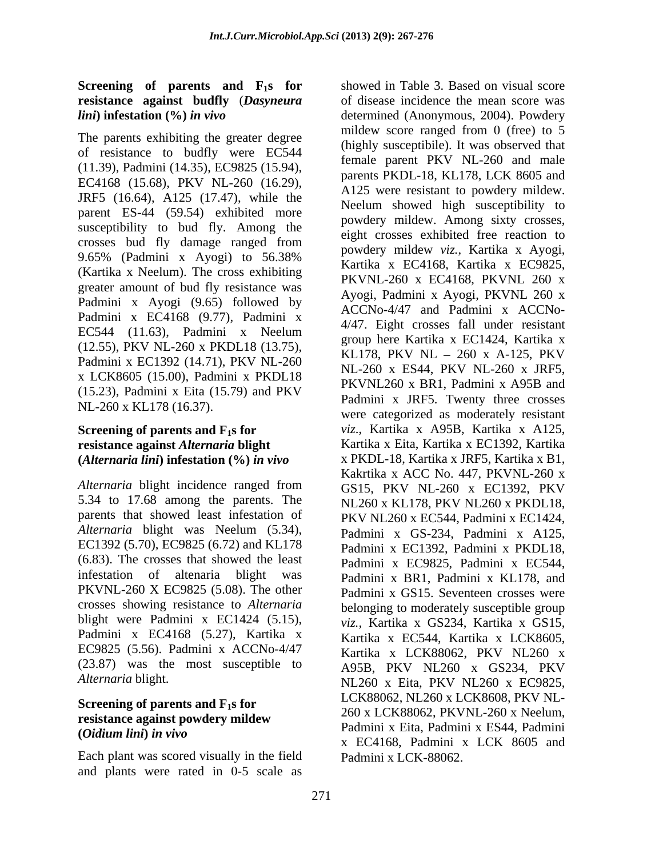# **Screening** of **parents and F<sub>1</sub>s <b>for resistance against budfly** (*Dasyneura*

The parents exhibiting the greater degree of resistance to budfly were EC544 (11.39), Padmini (14.35), EC9825 (15.94), EC4168 (15.68), PKV NL-260 (16.29), JRF5 (16.64), A125 (17.47), while the parent ES-44 (59.54) exhibited more susceptibility to bud fly. Among the crosses bud fly damage ranged from engineering mildow with Kartika w Avoci 9.65% (Padmini x Ayogi) to  $56.38\%$  powdery line  $v_{k,i}$ , Katika x Ayogi, (Kartika x Neelum). The cross exhibiting greater amount of bud fly resistance was Padmini x Ayogi (9.65) followed by Padmini x EC4168 (9.77), Padmini x EC544 (11.63), Padmini x Neelum (12.55), PKV NL-260 x PKDL18 (13.75), Padmini x EC1392 (14.71), PKV NL-260 x LCK8605 (15.00), Padmini x PKDL18 (15.23), Padmini x Eita (15.79) and PKV NL-260 x KL178 (16.37).

# **resistance against** *Alternaria* **blight (***Alternaria lini***) infestation (%)** *in vivo*

5.34 to 17.68 among the parents. The parents that showed least infestation of PKV NL260 x EC544, Padmini x EC1424, *Alternaria* blight was Neelum (5.34), EC1392 (5.70), EC9825 (6.72) and KL178 (6.83). The crosses that showed the least PKVNL-260 X EC9825 (5.08). The other crosses showing resistance to *Alternaria* blight were Padmini x EC1424 (5.15), Padmini x EC4168 (5.27), Kartika x EC9825 (5.56). Padmini x ACCNo-4/47 (23.87) was the most susceptible to

# **Screening of parents and F1s for resistance against powdery mildew**

Each plant was scored visually in the field and plants were rated in 0-5 scale as

*lini***) infestation (%)** *in vivo* determined (Anonymous, 2004). Powdery **Screening of parents and F<sub>1</sub>s for** *viz.*, Kartika x A95B, Kartika x A125, *Alternaria* blight incidence ranged from GS15, PKV NL-260 x EC1392, PKV infestation of altenaria blight was Padmini x BR1, Padmini x KL178, and *Alternaria* blight. NL260 x Eita, PKV NL260 x EC9825, **(***Oidium lini***)** *in vivo* showed in Table 3. Based on visual score of disease incidence the mean score was mildew score ranged from 0 (free) to 5 (highly susceptibile). It was observed that female parent PKV NL-260 and male parents PKDL-18, KL178, LCK 8605 and A125 were resistant to powdery mildew. Neelum showed high susceptibility to powdery mildew. Among sixty crosses, eight crosses exhibited free reaction to powdery mildew *viz.,* Kartika x Ayogi, Kartika x EC4168, Kartika x EC9825, PKVNL-260 x EC4168, PKVNL 260 x Ayogi, Padmini x Ayogi, PKVNL 260 x ACCNo-4/47 and Padmini x ACCNo- 4/47. Eight crosses fall under resistant group here Kartika x EC1424, Kartika x KL178, PKV NL  $-$  260 x A-125, PKV NL-260 x ES44, PKV NL-260 x JRF5, PKVNL260 x BR1, Padmini x A95B and Padmini x JRF5. Twenty three crosses were categorized as moderately resistant Kartika x Eita, Kartika x EC1392, Kartika x PKDL-18, Kartika x JRF5, Kartika x B1, Kakrtika x ACC No. 447, PKVNL-260 x GS15, PKV NL-260 x EC1392, PKV NL260 x KL178, PKV NL260 x PKDL18, PKV NL260 x EC544, Padmini x EC1424, Padmini <sup>x</sup> GS-234, Padmini <sup>x</sup> A125, Padmini x EC1392, Padmini x PKDL18, Padmini x EC9825, Padmini x EC544, Padmini x GS15. Seventeen crosses were belonging to moderately susceptible group *viz.,* Kartika x GS234, Kartika x GS15, Kartika x EC544, Kartika x LCK8605, Kartika x LCK88062, PKV NL260 x A95B, PKV NL260 x GS234, PKV LCK88062, NL260 x LCK8608, PKV NL- 260 x LCK88062, PKVNL-260 x Neelum, Padmini x Eita, Padmini x ES44, Padmini x EC4168, Padmini x LCK 8605 and Padmini x LCK-88062.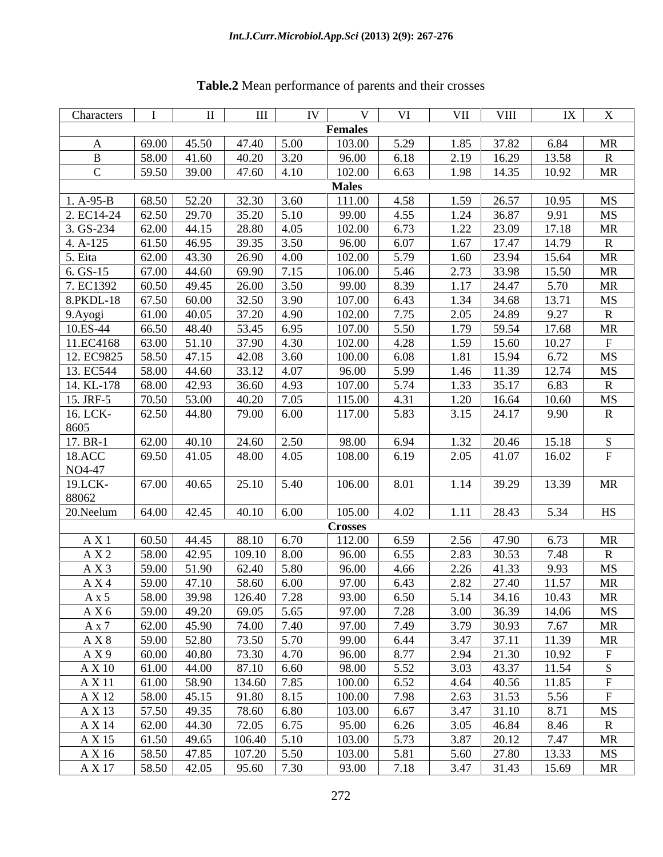| Characters           |       | $\mathbf{H}$                                                                                   | $\mathbf{III}$ | IV                 | $\mathbf{V}$   | VI   |      | VII VIII       |                       | IX X         |
|----------------------|-------|------------------------------------------------------------------------------------------------|----------------|--------------------|----------------|------|------|----------------|-----------------------|--------------|
|                      |       |                                                                                                |                |                    | <b>Females</b> |      |      |                |                       |              |
|                      |       | 69.00 45.50                                                                                    | 47.40 5.00     |                    | 103.00         | 5.29 |      | 1.85 37.82     | 6.84                  | MR           |
|                      |       | 58.00 41.60                                                                                    | 40.20          | 3.20               | 96.00          | 6.18 | 2.19 | 16.29          | 13.58                 |              |
|                      |       | $ 59.50 $ 39.00                                                                                | $47.60$ 4.10   |                    | 102.00         | 6.63 |      |                | 1.98 14.35 10.92      | MR           |
|                      |       |                                                                                                |                |                    | <b>Males</b>   |      |      |                |                       |              |
| 1. A-95-B            | 68.50 | 52.20                                                                                          | 32.30          | 3.60               | 111.00         | 4.58 | 1.59 | 26.57          | 10.95                 | MS           |
| 2. EC14-24           | 62.50 | 29.70                                                                                          | 35.20          | 5.10               | 99.00          | 4.55 |      | 1.24 36.87     | 9.91                  | MS           |
| $3. GS-234$          |       | $62.00$ 44.15                                                                                  | 28.80          | 4.05               | 102.00         | 6.73 |      | $1.22$ 23.09   | 17.18                 | MR           |
| 4. A-125             |       | 61.50 46.95                                                                                    | 39.35          | 3.50               | 96.00          | 6.07 |      | $1.67$ 17.47   | 14.79                 | R.           |
| 5. Eita              |       | 62.00 43.30                                                                                    | 26.90          | 4.00               | 102.00         | 5.79 | 1.60 | 23.94          | 15.64                 | MR           |
| $6. GS-15$           |       | 67.00 44.60                                                                                    | 69.90          |                    | 106.00         | 5.46 |      | $2.73$ 33.98   | 15.50                 | MR           |
| 7. EC1392            |       | 60.50 49.45                                                                                    | 26.00          | 3.50               | 99.00          | 8.39 |      | $1.17$ 24.47   | 5.70                  | MR           |
| 8.PKDL-18            |       | 67.50 60.00                                                                                    | 32.50          | 3.90               | 107.00         | 6.43 |      | 1.34 34.68     | 13.71                 | MS           |
|                      | 61.00 | 40.05                                                                                          | 37.20          | 4.90               | 102.00         | 7.75 | 2.05 | 24.89          | 9.27                  |              |
| 9. Ayogi<br>10.ES-44 |       | 66.50 48.40                                                                                    | 53.45          | 6.95               | 107.00         | 5.50 |      | 1.79 59.54     | 17.68                 | MR           |
|                      |       |                                                                                                |                |                    |                |      |      | 1.59 15.60     | 10.27                 |              |
| 11.EC4168            | 63.00 | 51.10                                                                                          | 37.90          | 4.30               | 102.00         | 4.28 |      |                |                       |              |
| 12. EC9825           | 58.50 | 47.15                                                                                          | 42.08          | 3.60               | 100.00         | 6.08 |      | 1.81 15.94     | 6.72                  | MS           |
| 13. EC544            | 58.00 | 44.60                                                                                          | 33.12          | 4.07               | 96.00          | 5.99 | 1.46 | 11.39          | 12.74                 | MS           |
| $14.$ KL-178         | 68.00 | 42.93                                                                                          | 36.60          | 4.93               | 107.00         | 5.74 |      | $1.33$ 35.17   | 6.83                  | $\mathbb{R}$ |
| 15. JRF-5            | 70.50 | 53.00                                                                                          | 40.20          | 7.05               | 115.00         | 4.31 | 1.20 | 16.64          | 10.60                 | MS           |
| 16. LCK-             |       | 62.50 44.80                                                                                    | 79.00 6.00     |                    | 117.00         | 5.83 |      | $3.15$ 24.17   | 9.90                  |              |
| 8605                 |       |                                                                                                |                |                    |                |      |      |                |                       |              |
| $17. BR-1$           |       | 62.00 40.10                                                                                    | 24.60          | 2.50               | 98.00          | 6.94 |      | $1.32$   20.46 | 15.18                 |              |
| 18.ACC               |       | 69.50 41.05                                                                                    | 48.00 4.05     |                    | 108.00         | 6.19 |      | 2.05 41.07     | 16.02                 |              |
| NO4-47               |       |                                                                                                |                |                    |                |      |      |                |                       |              |
| $19.$ LCK-           |       | 67.00 40.65                                                                                    | 25.10 5.40     |                    | 106.00         | 8.01 |      | $1.14$ 39.29   | 13.39                 | MR           |
| 88062                |       |                                                                                                |                |                    |                |      |      |                |                       |              |
| 20. Neelum           |       | $\vert 64.00 \vert 42.45 \vert 40.10 \vert 6.00$                                               |                |                    | 105.00         | 4.02 |      |                | $1.11$   28.43   5.34 | HS           |
|                      |       |                                                                                                |                |                    | <b>Crosses</b> |      |      |                |                       |              |
| A X 1                |       | $60.50$ 44.45                                                                                  | 88.10 6.70     |                    | 112.00         | 6.59 | 2.56 | 47.90          | 6.73                  | MR           |
| AX2                  | 58.00 | 42.95                                                                                          | 109.10         | $\vert 8.00 \vert$ | 96.00          | 6.55 |      | 2.83 30.53     | 7.48                  |              |
| A X 3                |       | 59.00 51.90                                                                                    | 62.40          | 5.80               | 96.00          | 4.66 |      | $2.26$ 41.33   | 9.93                  | MS           |
| AX 4                 |       | 59.00 47.10                                                                                    | 58.60 6.00     |                    | 97.00          | 6.43 |      | 2.82 27.40     | 11.57                 | MR           |
| A x 5                |       | $58.00$ 39.98                                                                                  | $126.40$ 7.28  |                    | 93.00          | 6.50 |      | 5.14 34.16     | 10.43                 | MR           |
| AX 6                 |       | $\begin{array}{ c c c c c c c c } \hline 59.00 & 49.20 & 69.05 & 5.65 \\\hline \end{array}$    |                |                    | 97.00          | 7.28 |      | 3.00 36.39     | 14.06                 | MS           |
| A x 7                |       | 62.00 45.90                                                                                    | 74.00 7.40     |                    | 97.00          | 7.49 |      | $3.79$ $30.93$ | 7.67                  | MR           |
| A X 8                |       | 59.00 52.80                                                                                    | 73.50          | $5.70$             | 99.00          | 6.44 |      | $3.47$ $37.11$ | 11.39                 | <b>MR</b>    |
| AX9                  |       | $\begin{array}{ c c c c c c c c } \hline 60.00 & 40.80 & 73.30 & 4.70 \hline \end{array}$      |                |                    | 96.00          | 8.77 |      | $2.94$ 21.30   | 10.92                 |              |
| A X 10               |       | $\begin{array}{ c c c c c c c c } \hline 61.00 & 44.00 & 87.10 & 6.60 \hline \end{array}$      |                |                    | 98.00          | 5.52 |      |                | $3.03$ 43.37 11.54    | S            |
| A X 11               |       | $61.00$ 58.90                                                                                  | 134.60 7.85    |                    | 100.00         | 6.52 |      | $-4.64$ 40.56  | 11.85                 |              |
| A X 12               |       | $58.00$ 45.15                                                                                  | 91.80          | 8.15               | 100.00         | 7.98 |      | 2.63 31.53     | 5.56                  |              |
| A X 13               |       | 57.50 49.35                                                                                    | 78.60          | 6.80               | 103.00         | 6.67 |      | $3.47$ $31.10$ | 8.71                  | MS           |
| A X 14               |       | $62.00$ 44.30                                                                                  | 72.05 6.75     |                    | 95.00          | 6.26 |      | $3.05$ 46.84   | 8.46                  | $\mathbf{R}$ |
| A X 15               |       | $\vert 61.50 \vert 49.65 \vert 106.40 \vert 5.10$                                              |                |                    | 103.00         | 5.73 |      | $3.87$ 20.12   | 7.47                  | MR           |
| A X 16               |       | $\begin{array}{ c c c c c c c c c } \hline 58.50 & 47.85 & 107.20 & 5.50 \ \hline \end{array}$ |                |                    | 103.00         | 5.81 |      | 5.60 27.80     | 13.33                 | MS           |
| A X 17               |       | $\begin{array}{ c c c c c c c c } \hline 58.50 & 42.05 & 95.60 & 7.30 \ \hline \end{array}$    |                |                    | 93.00          | 7.18 |      | 3.47 31.43     | 15.69                 | MR           |
|                      |       |                                                                                                |                |                    |                |      |      |                |                       |              |

# **Table.2** Mean performance of parents and their crosses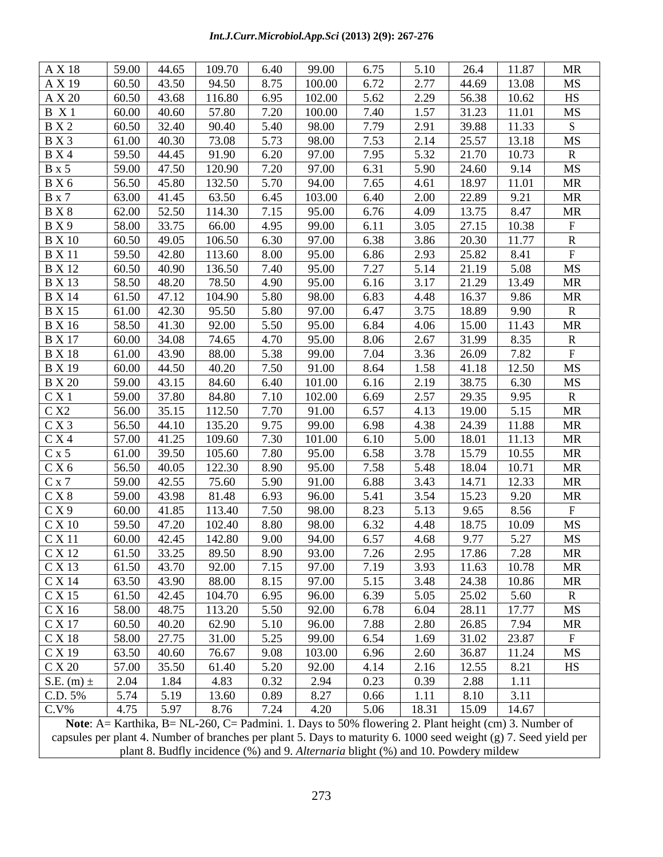| A X 18         | 59.00                                                                                                | 44.65       | 109.70                                        |                                                                         | 99.00       |                     |                     |       |                           | <b>MR</b> |
|----------------|------------------------------------------------------------------------------------------------------|-------------|-----------------------------------------------|-------------------------------------------------------------------------|-------------|---------------------|---------------------|-------|---------------------------|-----------|
| A X 19         | 60.50                                                                                                | 43.50       | 94.50                                         | 8.75                                                                    | 100.00      | 6.72                | 2.77                | 44.69 | 13.08                     | MS        |
| A X 20         |                                                                                                      |             | $60.50$ 43.68 116.80                          |                                                                         | 6.95 102.00 | 5.62                | 2.29                |       | 56.38   10.62             | HS        |
| B X1           | 60.00                                                                                                | 40.60       | 57.80                                         | 7.20                                                                    | 100.00      | 7.40                | 1.57                | 31.23 | 11.01                     | MS        |
| <b>B</b> X 2   | 60.50                                                                                                | 32.40       | 90.40                                         | 5.40                                                                    | 98.00       | 7.79                | 2.91                | 39.88 | 11.33                     |           |
| <b>B</b> X 3   | $61.00$ 40.30                                                                                        |             | 73.08                                         | 5.73                                                                    | 98.00       | 7.53                | 2.14                | 25.57 | 13.18                     | MS        |
| <b>B</b> X 4   | 59.50                                                                                                | 44.45       | 91.90                                         | 6.20                                                                    | 97.00       | 7.95                | 5.32                | 21.70 | 10.73                     |           |
| B x 5          | 59.00 47.50                                                                                          |             | 120.90                                        | 7.20                                                                    | 97.00       | 6.31                | 5.90                | 24.60 | 9.14                      | MS        |
| <b>B</b> X 6   | 56.50 45.80                                                                                          |             | 132.50                                        | 5.70                                                                    | 94.00       | 7.65                | 4.61                |       | 18.97 11.01               | MR        |
| <b>B</b> x 7   | 63.00 41.45                                                                                          |             | 63.50                                         | 6.45                                                                    | 103.00      | 6.40                | 2.00                | 22.89 | 9.21                      | MR        |
| <b>BX8</b>     |                                                                                                      | 62.00 52.50 | 114.30                                        | 7.15                                                                    | 95.00       | 6.76                | 4.09                | 13.75 | 8.47                      | MR        |
| B X 9          | 58.00                                                                                                | 33.75       | 66.00                                         | 4.95                                                                    | 99.00       | 6.11                | 3.05                |       | 27.15 10.38               |           |
| <b>B</b> X 10  |                                                                                                      |             | $60.50$ 49.05 106.50                          | $\begin{array}{c} \begin{array}{c} \end{array} \end{array}$ 6.30        | 97.00       | 6.38                | 3.86                |       | 20.30 11.77               |           |
| <b>B</b> X 11  | 59.50                                                                                                | 42.80       | 113.60                                        | 8.00                                                                    | 95.00       | 6.86                | 2.93                | 25.82 | 8.41                      |           |
| <b>B</b> X 12  | $60.50$   40.90                                                                                      |             | 136.50                                        | 7.40                                                                    | 95.00       | 7.27                | 5.14                | 21.19 | 5.08                      | MS        |
| <b>B</b> X 13  | 58.50                                                                                                | 48.20       | 78.50                                         | 4.90                                                                    | 95.00       | 6.16                | 3.17                | 21.29 | 13.49                     | <b>MR</b> |
|                |                                                                                                      |             |                                               |                                                                         |             |                     |                     |       |                           |           |
| <b>B</b> X 14  | 61.50                                                                                                | 47.12       | 104.90                                        | 5.80                                                                    | 98.00       | 6.83                | 4.48                | 16.37 | 9.86                      | MR        |
| <b>B</b> X 15  | 61.00 42.30                                                                                          |             | 95.50                                         | 5.80                                                                    | 97.00       | 6.47                | 3.75                | 18.89 | 9.90                      |           |
| <b>B</b> X 16  | 58.50                                                                                                | 41.30       | 92.00                                         | 5.50                                                                    | 95.00       | 6.84                | 4.06                | 15.00 | 11.43                     | MR        |
| <b>B</b> X 17  |                                                                                                      | 60.00 34.08 | 74.65                                         | 4.70                                                                    | 95.00       | 8.06                | 2.67                | 31.99 | 8.35                      |           |
| <b>B</b> X 18  | 61.00                                                                                                | 43.90       | 88.00                                         | 5.38                                                                    | 99.00       | 7.04                | 3.36                | 26.09 | 7.82                      |           |
| <b>B</b> X 19  |                                                                                                      | 60.00 44.50 | 40.20                                         | 7.50                                                                    | 91.00       | 8.64                | 1.58                | 41.18 | 12.50                     | MS        |
| <b>B</b> X 20  |                                                                                                      | 59.00 43.15 | 84.60                                         | 6.40                                                                    | 101.00      | 6.16                | 2.19                | 38.75 | 6.30                      | MS        |
| CX1            |                                                                                                      | 59.00 37.80 | 84.80                                         | 7.10                                                                    | 102.00      | 6.69                | 2.57                | 29.35 | 9.95                      |           |
| C X2           | 56.00                                                                                                | 35.15       | 112.50                                        | 7.70                                                                    | 91.00       | 6.57                | 4.13                | 19.00 | 5.15                      | MR        |
| C X 3          | 56.50                                                                                                | 44.10       | 135.20                                        | 9.75                                                                    | 99.00       | 6.98                | 4.38                | 24.39 | 11.88                     | MR        |
| C X 4          | 57.00                                                                                                | 41.25       | 109.60                                        | 7.30                                                                    | 101.00      | 6.10                | 5.00                | 18.01 | 11.13                     | MR        |
| C x 5          | 61.00                                                                                                | 39.50       | 105.60                                        | 7.80                                                                    | 95.00       | 6.58                | 3.78                | 15.79 | 10.55                     | MR        |
| C X 6          | 56.50 40.05                                                                                          |             | 122.30                                        | 8.90                                                                    | 95.00       | 7.58                | 5.48                | 18.04 | 10.71                     | MR        |
| C x 7          | 59.00                                                                                                |             | 42.55 75.60                                   | 5.90                                                                    | 91.00       | 6.88                | 3.43                | 14.71 | 12.33                     | MR        |
| C X 8          | 59.00                                                                                                | 43.98       | 81.48                                         | 6.93                                                                    | 96.00       | 5.41                | 3.54                | 15.23 | 9.20                      | MR        |
| CX9            | $60.00$ 41.85                                                                                        |             | 113.40                                        | 7.50                                                                    | 98.00       | 8.23                | 5.13                | 9.65  | 8.56                      |           |
|                |                                                                                                      |             | 59.50 47.20 102.40                            | 8.80                                                                    | 98.00       | 6.32                | 4.48                |       | 10.09                     |           |
| C X 10         |                                                                                                      |             |                                               |                                                                         |             |                     |                     | 18.75 |                           | MS        |
| C X 11         |                                                                                                      |             | $\vert$ 60.00   42.45   142.80   9.00   94.00 |                                                                         |             | 6.57                | 4.68                | 9.77  | 5.27                      | MS        |
| CX 12          | 61.50                                                                                                | 33.25       | 89.50                                         | 8.90                                                                    | 93.00       | 7.26                | 2.95                | 17.86 | 7.28                      | <b>MR</b> |
| C X 13         | 61.50 43.70                                                                                          |             | 92.00                                         | 7.15                                                                    | 97.00       | 7.19                | 3.93                | 11.63 | 10.78                     | MR        |
| C X 14         |                                                                                                      |             | 63.50 43.90 88.00                             |                                                                         | 8.15 97.00  | 5.15                | 3.48                | 24.38 | 10.86                     | <b>MR</b> |
| C X 15         |                                                                                                      |             | $61.50$ 42.45 104.70                          | 6.95                                                                    | 96.00       | $\frac{6.39}{6.78}$ | $\frac{5.05}{6.04}$ |       | 25.02 5.60<br>28.11 17.77 |           |
| C X 16         |                                                                                                      |             | 58.00 48.75 113.20 5.50 92.00                 |                                                                         |             |                     |                     |       |                           | MS        |
| C X 17         | 60.50 40.20                                                                                          |             | 62.90                                         | $\begin{array}{ c c } \hline 5.10 \\ \hline 5.25 \\ \hline \end{array}$ | 96.00       | 7.88                | 2.80                | 26.85 | 7.94                      | <b>MR</b> |
| C X 18         |                                                                                                      | 58.00 27.75 | 31.00                                         |                                                                         | 99.00       | 6.54                | 1.69                | 31.02 | 23.87                     |           |
| C X 19         | $63.50$ 40.60                                                                                        |             | 76.67                                         | 9.08                                                                    | 103.00      | 6.96                | 2.60                | 36.87 | 11.24                     | MS        |
| C X 20         | 57.00 35.50                                                                                          |             | 61.40                                         | 5.20                                                                    | 92.00       | 4.14                | 2.16                | 12.55 | 8.21                      | HS        |
| S.E. (m) $\pm$ | 2.04                                                                                                 | 1.84        | 4.83                                          | 0.32                                                                    | 2.94        | 0.23                | 0.39                | 2.88  | 1.11                      |           |
| C.D. 5%        |                                                                                                      |             | 5.74 5.19 13.60                               | 0.89                                                                    | 8.27        | 0.66                | 1.11                | 8.10  | 3.11                      |           |
| $C.V\%$        | 4.75                                                                                                 | 5.97        | 8.76                                          | 7.24                                                                    | 4.20        | 5.06                | 18.31               | 15.09 | 14.67                     |           |
|                | Note: A= Karthika, B= NL-260, C= Padmini. 1. Days to 50% flowering 2. Plant height (cm) 3. Number of |             |                                               |                                                                         |             |                     |                     |       |                           |           |
|                |                                                                                                      |             |                                               |                                                                         |             |                     |                     |       |                           |           |

capsules per plant 4. Number of branches per plant 5. Days to maturity 6. 1000 seed weight (g) 7. Seed yield per plant 8. Budfly incidence (%) and 9. *Alternaria* blight (%) and 10. Powdery mildew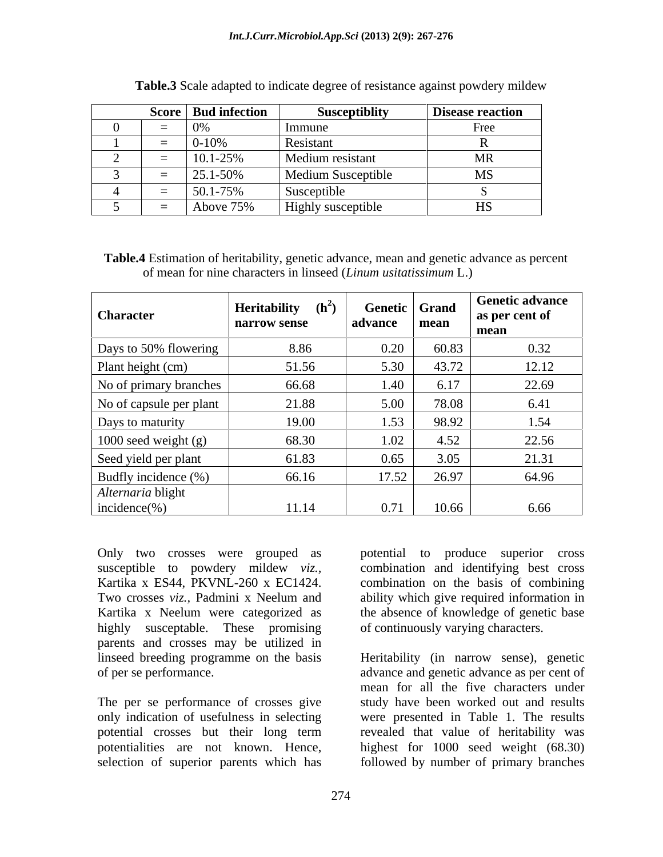|  | Score   Bud infection | <b>Susceptiblity</b> | <b>Disease reaction</b>     |
|--|-----------------------|----------------------|-----------------------------|
|  |                       |                      | Free                        |
|  | $0 - 10%$             | Resistant            |                             |
|  | 10.1-25%              | Medium resistant     | <b>MR</b>                   |
|  | 25.1-50%              | Medium Susceptible   | $\mathbf{R}$<br><b>CIVL</b> |
|  | 50.1-75%              | Susceptible          |                             |
|  | Above 75%             | Highly susceptible   | <b>TT2</b>                  |

**Table.3** Scale adapted to indicate degree of resistance against powdery mildew

**Table.4** Estimation of heritability, genetic advance, mean and genetic advance as percent of mean for nine characters in linseed (*Linum usitatissimum* L.)

| <b>Character</b>        | <b>Heritability</b> $(h^2)$<br>narrow sense | Genetic Grand<br>advance | mean  | <b>Genetic advance</b><br>as per cent of<br>mean |
|-------------------------|---------------------------------------------|--------------------------|-------|--------------------------------------------------|
| Days to 50% flowering   | 8.86                                        | 0.20                     | 60.83 | 0.32                                             |
| Plant height (cm)       | 51.56                                       | 5.30                     | 43.72 | 12.12                                            |
| No of primary branches  | 66.68                                       | 1.40                     | 6.17  | 22.69                                            |
| No of capsule per plant | 21.88                                       | 5.00                     | 78.08 | 6.41                                             |
| Days to maturity        | 19.00                                       | 1.53                     | 98.92 | 1.54                                             |
| 1000 seed weight (g)    | 68.30                                       | 1.02                     | 4.52  | 22.56                                            |
| Seed yield per plant    | 61.83                                       | 0.65                     | 3.05  | 21.31                                            |
| Budfly incidence (%)    | 66.16                                       | 17.52                    | 26.97 | 64.96                                            |
| Alternaria blight       |                                             |                          |       |                                                  |
| $incidence(\% )$        | 11.14                                       | 0.71                     | 10.66 | 6.66                                             |

highly susceptable. These promising parents and crosses may be utilized in

Only two crosses were grouped as potential to produce superior cross susceptible to powdery mildew *viz.,* combination and identifying best cross Kartika x ES44, PKVNL-260 x EC1424. combination on the basis of combining Two crosses *viz.,* Padmini x Neelum and ability which give required information in Kartika x Neelum were categorized as the absence of knowledge of genetic base of continuously varying characters.

linseed breeding programme on the basis Heritability (in narrow sense), genetic of per se performance. advance and genetic advance as per cent of The per se performance of crosses give study have been worked out and results only indication of usefulness in selecting were presented in Table 1. The results potential crosses but their long term revealed that value of heritability was potentialities are not known. Hence, highest for 1000 seed weight (68.30) selection of superior parents which has followed by number of primary branches mean for all the five characters under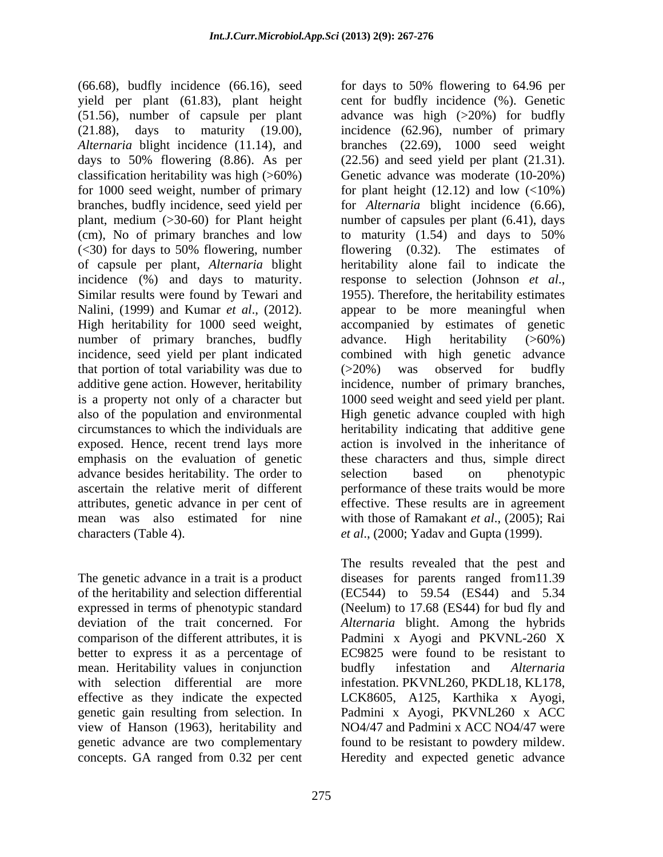(66.68), budfly incidence (66.16), seed yield per plant (61.83), plant height (cm), No of primary branches and low to maturity (1.54) and days to 50% (<30) for days to 50% flowering, number of capsule per plant, *Alternaria* blight incidence (%) and days to maturity. response to selection (Johnson et al., Similar results were found by Tewari and 1955). Therefore, the heritability estimates number of primary branches, budfly advance. High heritability (>60%) that portion of total variability was due to  $(>20\%)$  was observed for budfly advance besides heritability. The order to selection based on phenotypic ascertain the relative merit of different characters (Table 4). *et al*., (2000; Yadav and Gupta (1999).

better to express it as a percentage of mean. Heritability values in conjunction budfly infestation and Alternaria concepts. GA ranged from 0.32 per cent

(51.56), number of capsule per plant advance was high (>20%) for budfly (21.88), days to maturity (19.00), incidence (62.96), number of primary *Alternaria* blight incidence (11.14), and branches (22.69), 1000 seed weight days to 50% flowering (8.86). As per (22.56) and seed yield per plant (21.31). classification heritability was high (>60%) Genetic advance was moderate (10-20%) for 1000 seed weight, number of primary for plant height (12.12) and low (<10%) branches, budfly incidence, seed yield per for *Alternaria* blight incidence (6.66), plant, medium (>30-60) for Plant height number of capsules per plant (6.41), days Nalini, (1999) and Kumar *et al*., (2012). appear to be more meaningful when High heritability for 1000 seed weight, accompanied by estimates of genetic incidence, seed yield per plant indicated combined with high genetic advance additive gene action. However, heritability incidence, number of primary branches, is a property not only of a character but 1000 seed weight and seed yield per plant. also of the population and environmental High genetic advance coupled with high circumstances to which the individuals are heritability indicating that additive gene exposed. Hence, recent trend lays more action is involved in the inheritance of emphasis on the evaluation of genetic these characters and thus, simple direct attributes, genetic advance in per cent of effective. These results are in agreement mean was also estimated for nine with those of Ramakant *et al*., (2005); Rai for days to 50% flowering to 64.96 per cent for budfly incidence (%). Genetic to maturity (1.54) and days to 50% flowering (0.32). The estimates of heritability alone fail to indicate the response to selection (Johnson *et al*., 1955). Therefore, the heritability estimates advance. High heritability (>60%) (>20%) was observed for budfly selection based on phenotypic performance of these traits would be more

The genetic advance in a trait is a product diseases for parents ranged from11.39 of the heritability and selection differential (EC544) to 59.54 (ES44) and 5.34 expressed in terms of phenotypic standard (Neelum) to 17.68 (ES44) for bud fly and deviation of the trait concerned. For *Alternaria* blight. Among the hybrids comparison of the different attributes, it is Padmini x Ayogi and PKVNL-260 X with selection differential are more infestation. PKVNL260, PKDL18, KL178, effective as they indicate the expected LCK8605, A125, Karthika x Ayogi, genetic gain resulting from selection. In Padmini x Ayogi, PKVNL260 x ACC view of Hanson (1963), heritability and NO4/47 and Padmini x ACC NO4/47 were genetic advance are two complementary found to be resistant to powdery mildew. The results revealed that the pest and EC9825 were found to be resistant to budfly infestation and *Alternaria* Heredity and expected genetic advance